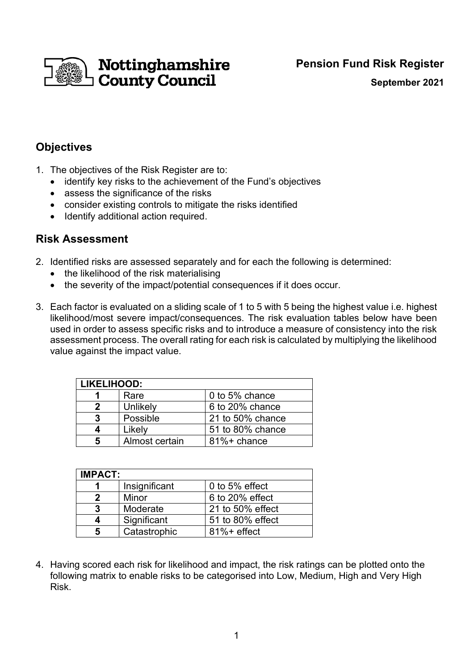

**September 2021**

### **Objectives**

- 1. The objectives of the Risk Register are to:
	- identify key risks to the achievement of the Fund's objectives
	- assess the significance of the risks
	- consider existing controls to mitigate the risks identified
	- Identify additional action required.

#### **Risk Assessment**

- 2. Identified risks are assessed separately and for each the following is determined:
	- the likelihood of the risk materialising
	- the severity of the impact/potential consequences if it does occur.
- 3. Each factor is evaluated on a sliding scale of 1 to 5 with 5 being the highest value i.e. highest likelihood/most severe impact/consequences. The risk evaluation tables below have been used in order to assess specific risks and to introduce a measure of consistency into the risk assessment process. The overall rating for each risk is calculated by multiplying the likelihood value against the impact value.

| <b>LIKELIHOOD:</b> |                |                  |  |  |  |  |
|--------------------|----------------|------------------|--|--|--|--|
|                    | Rare           | 0 to 5% chance   |  |  |  |  |
| 2                  | Unlikely       | 6 to 20% chance  |  |  |  |  |
| 3                  | Possible       | 21 to 50% chance |  |  |  |  |
| Δ                  | Likely         | 51 to 80% chance |  |  |  |  |
| 5                  | Almost certain | 81%+ chance      |  |  |  |  |

| <b>IMPACT:</b> |               |                  |  |  |  |
|----------------|---------------|------------------|--|--|--|
|                | Insignificant | 0 to 5% effect   |  |  |  |
|                | Minor         | 6 to 20% effect  |  |  |  |
| 3              | Moderate      | 21 to 50% effect |  |  |  |
|                | Significant   | 51 to 80% effect |  |  |  |
|                | Catastrophic  | $81\%$ + effect  |  |  |  |

4. Having scored each risk for likelihood and impact, the risk ratings can be plotted onto the following matrix to enable risks to be categorised into Low, Medium, High and Very High Risk.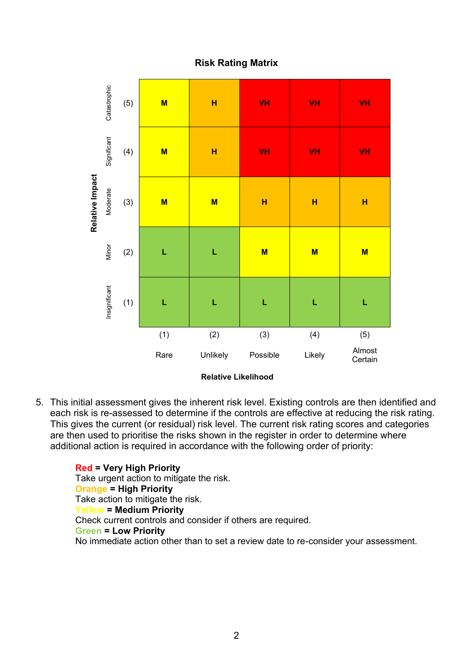#### **Risk Rating Matrix**



**Relative Likelihood**

5. This initial assessment gives the inherent risk level. Existing controls are then identified and each risk is re-assessed to determine if the controls are effective at reducing the risk rating. This gives the current (or residual) risk level. The current risk rating scores and categories are then used to prioritise the risks shown in the register in order to determine where additional action is required in accordance with the following order of priority:

**Red = Very High Priority**  Take urgent action to mitigate the risk. **Orange = High Priority**  Take action to mitigate the risk. **Yellow = Medium Priority**  Check current controls and consider if others are required. **Green = Low Priority**  No immediate action other than to set a review date to re-consider your assessment.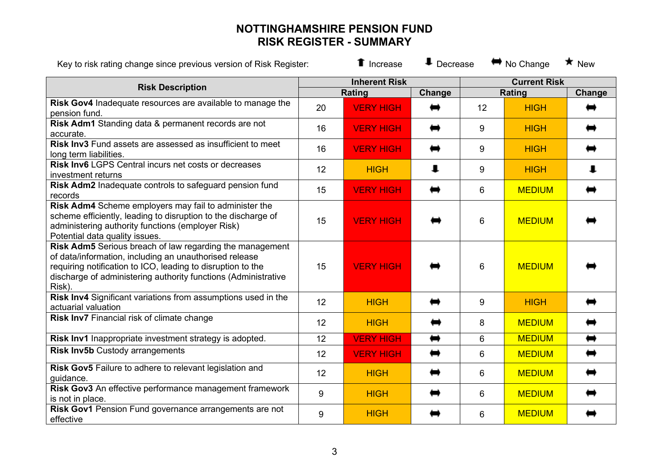## **NOTTINGHAMSHIRE PENSION FUND RISK REGISTER - SUMMARY**

| Key to risk rating change since previous version of Risk Register:                                                                                                                                                                                            |    | <b>1</b> Increase    | $\ddag$ Decrease |                     | $\leftrightarrow$ No Change | $\star$ New |
|---------------------------------------------------------------------------------------------------------------------------------------------------------------------------------------------------------------------------------------------------------------|----|----------------------|------------------|---------------------|-----------------------------|-------------|
| <b>Risk Description</b>                                                                                                                                                                                                                                       |    | <b>Inherent Risk</b> |                  | <b>Current Risk</b> |                             |             |
| Risk Gov4 Inadequate resources are available to manage the                                                                                                                                                                                                    |    | Rating               | Change           |                     | Rating                      | Change      |
| pension fund.                                                                                                                                                                                                                                                 | 20 | <b>VERY HIGH</b>     | ⇔                | 12                  | <b>HIGH</b>                 | ➡           |
| Risk Adm1 Standing data & permanent records are not<br>accurate.                                                                                                                                                                                              | 16 | <b>VERY HIGH</b>     |                  | 9                   | <b>HIGH</b>                 |             |
| <b>Risk Inv3</b> Fund assets are assessed as insufficient to meet<br>long term liabilities.                                                                                                                                                                   | 16 | <b>VERY HIGH</b>     | ⇔                | 9                   | <b>HIGH</b>                 |             |
| <b>Risk Inv6 LGPS Central incurs net costs or decreases</b><br>investment returns                                                                                                                                                                             | 12 | <b>HIGH</b>          | $\mathbf{I}$     | 9                   | <b>HIGH</b>                 | 1           |
| Risk Adm2 Inadequate controls to safeguard pension fund<br>records                                                                                                                                                                                            | 15 | <b>VERY HIGH</b>     |                  | 6                   | <b>MEDIUM</b>               |             |
| Risk Adm4 Scheme employers may fail to administer the<br>scheme efficiently, leading to disruption to the discharge of<br>administering authority functions (employer Risk)<br>Potential data quality issues.                                                 | 15 | <b>VERY HIGH</b>     |                  | $6\phantom{1}$      | <b>MEDIUM</b>               |             |
| Risk Adm5 Serious breach of law regarding the management<br>of data/information, including an unauthorised release<br>requiring notification to ICO, leading to disruption to the<br>discharge of administering authority functions (Administrative<br>Risk). | 15 | <b>VERY HIGH</b>     |                  | $6\phantom{1}$      | <b>MEDIUM</b>               |             |
| Risk Inv4 Significant variations from assumptions used in the<br>actuarial valuation                                                                                                                                                                          | 12 | <b>HIGH</b>          |                  | 9                   | <b>HIGH</b>                 |             |
| Risk Inv7 Financial risk of climate change                                                                                                                                                                                                                    | 12 | <b>HIGH</b>          |                  | 8                   | <b>MEDIUM</b>               |             |
| Risk Inv1 Inappropriate investment strategy is adopted.                                                                                                                                                                                                       | 12 | <b>VERY HIGH</b>     | ⇔                | $6\phantom{1}$      | <b>MEDIUM</b>               | ⇔           |
| <b>Risk Inv5b Custody arrangements</b>                                                                                                                                                                                                                        | 12 | <b>VERY HIGH</b>     | ⇔                | $6\phantom{1}6$     | <b>MEDIUM</b>               | ⇔           |
| Risk Gov5 Failure to adhere to relevant legislation and<br>guidance.                                                                                                                                                                                          | 12 | <b>HIGH</b>          |                  | $6\phantom{1}$      | <b>MEDIUM</b>               |             |
| Risk Gov3 An effective performance management framework<br>is not in place.                                                                                                                                                                                   | 9  | <b>HIGH</b>          |                  | $6\phantom{1}$      | <b>MEDIUM</b>               |             |
| Risk Gov1 Pension Fund governance arrangements are not<br>effective                                                                                                                                                                                           | 9  | <b>HIGH</b>          |                  | $6\phantom{1}$      | <b>MEDIUM</b>               |             |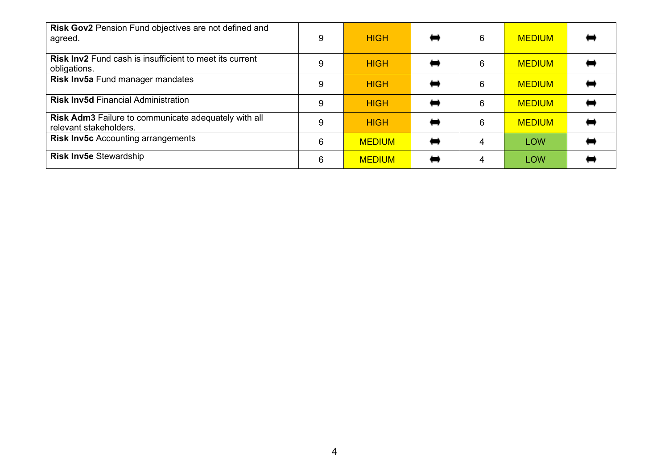| Risk Gov2 Pension Fund objectives are not defined and<br>agreed.                      | 9 | <b>HIGH</b>   | 6 | <b>MEDIUM</b> |  |
|---------------------------------------------------------------------------------------|---|---------------|---|---------------|--|
| <b>Risk Inv2</b> Fund cash is insufficient to meet its current<br>obligations.        | 9 | <b>HIGH</b>   | 6 | <b>MEDIUM</b> |  |
| Risk Inv5a Fund manager mandates                                                      | 9 | <b>HIGH</b>   | 6 | <b>MEDIUM</b> |  |
| <b>Risk Inv5d Financial Administration</b>                                            | 9 | <b>HIGH</b>   | 6 | <b>MEDIUM</b> |  |
| <b>Risk Adm3</b> Failure to communicate adequately with all<br>relevant stakeholders. | 9 | <b>HIGH</b>   | 6 | <b>MEDIUM</b> |  |
| <b>Risk Inv5c</b> Accounting arrangements                                             | 6 | <b>MEDIUM</b> |   | <b>LOW</b>    |  |
| <b>Risk Inv5e Stewardship</b>                                                         | 6 | <b>MEDIUM</b> |   | <b>LOW</b>    |  |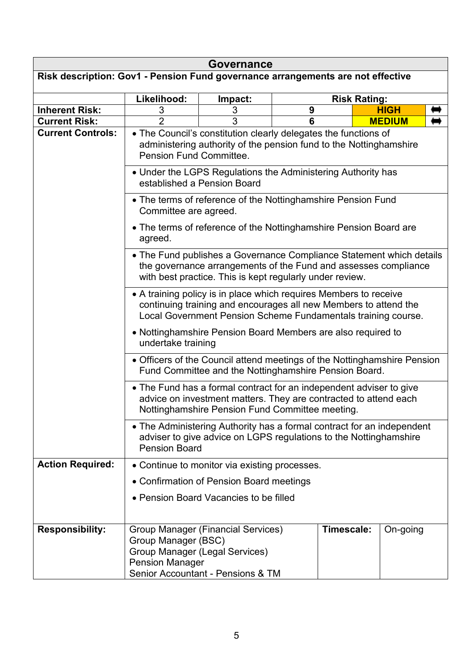| <b>Governance</b>                                                               |                                                                                                                                                                                                        |                                                                                                                  |                     |            |  |               |  |  |
|---------------------------------------------------------------------------------|--------------------------------------------------------------------------------------------------------------------------------------------------------------------------------------------------------|------------------------------------------------------------------------------------------------------------------|---------------------|------------|--|---------------|--|--|
| Risk description: Gov1 - Pension Fund governance arrangements are not effective |                                                                                                                                                                                                        |                                                                                                                  |                     |            |  |               |  |  |
|                                                                                 | Likelihood:                                                                                                                                                                                            | Impact:                                                                                                          | <b>Risk Rating:</b> |            |  |               |  |  |
| <b>Inherent Risk:</b>                                                           | 3                                                                                                                                                                                                      | 3                                                                                                                | 9                   |            |  | <b>HIGH</b>   |  |  |
| <b>Current Risk:</b>                                                            | $\overline{2}$                                                                                                                                                                                         | 3                                                                                                                | 6                   |            |  | <b>MEDIUM</b> |  |  |
| <b>Current Controls:</b>                                                        | • The Council's constitution clearly delegates the functions of<br>administering authority of the pension fund to the Nottinghamshire<br>Pension Fund Committee.                                       |                                                                                                                  |                     |            |  |               |  |  |
|                                                                                 | • Under the LGPS Regulations the Administering Authority has<br>established a Pension Board                                                                                                            |                                                                                                                  |                     |            |  |               |  |  |
|                                                                                 | • The terms of reference of the Nottinghamshire Pension Fund<br>Committee are agreed.                                                                                                                  |                                                                                                                  |                     |            |  |               |  |  |
|                                                                                 | • The terms of reference of the Nottinghamshire Pension Board are<br>agreed.                                                                                                                           |                                                                                                                  |                     |            |  |               |  |  |
|                                                                                 | • The Fund publishes a Governance Compliance Statement which details<br>the governance arrangements of the Fund and assesses compliance<br>with best practice. This is kept regularly under review.    |                                                                                                                  |                     |            |  |               |  |  |
|                                                                                 | • A training policy is in place which requires Members to receive<br>continuing training and encourages all new Members to attend the<br>Local Government Pension Scheme Fundamentals training course. |                                                                                                                  |                     |            |  |               |  |  |
|                                                                                 | • Nottinghamshire Pension Board Members are also required to<br>undertake training                                                                                                                     |                                                                                                                  |                     |            |  |               |  |  |
|                                                                                 | • Officers of the Council attend meetings of the Nottinghamshire Pension<br>Fund Committee and the Nottinghamshire Pension Board.                                                                      |                                                                                                                  |                     |            |  |               |  |  |
|                                                                                 | • The Fund has a formal contract for an independent adviser to give<br>advice on investment matters. They are contracted to attend each<br>Nottinghamshire Pension Fund Committee meeting.             |                                                                                                                  |                     |            |  |               |  |  |
|                                                                                 | • The Administering Authority has a formal contract for an independent<br>adviser to give advice on LGPS regulations to the Nottinghamshire<br><b>Pension Board</b>                                    |                                                                                                                  |                     |            |  |               |  |  |
| <b>Action Required:</b>                                                         |                                                                                                                                                                                                        | • Continue to monitor via existing processes.                                                                    |                     |            |  |               |  |  |
|                                                                                 |                                                                                                                                                                                                        | • Confirmation of Pension Board meetings                                                                         |                     |            |  |               |  |  |
|                                                                                 |                                                                                                                                                                                                        | • Pension Board Vacancies to be filled                                                                           |                     |            |  |               |  |  |
|                                                                                 |                                                                                                                                                                                                        |                                                                                                                  |                     |            |  |               |  |  |
| <b>Responsibility:</b>                                                          | Group Manager (BSC)<br><b>Pension Manager</b>                                                                                                                                                          | Group Manager (Financial Services)<br><b>Group Manager (Legal Services)</b><br>Senior Accountant - Pensions & TM |                     | Timescale: |  | On-going      |  |  |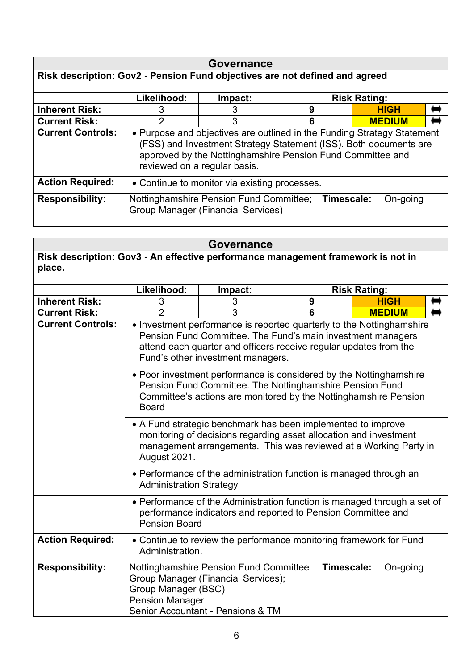| Governance                                                                  |                                                                                                                                                                                                                                            |         |   |  |                     |               |  |
|-----------------------------------------------------------------------------|--------------------------------------------------------------------------------------------------------------------------------------------------------------------------------------------------------------------------------------------|---------|---|--|---------------------|---------------|--|
| Risk description: Gov2 - Pension Fund objectives are not defined and agreed |                                                                                                                                                                                                                                            |         |   |  |                     |               |  |
|                                                                             | Likelihood:                                                                                                                                                                                                                                | Impact: |   |  | <b>Risk Rating:</b> |               |  |
| <b>Inherent Risk:</b>                                                       | З                                                                                                                                                                                                                                          | 3       | 9 |  |                     | <b>HIGH</b>   |  |
| <b>Current Risk:</b>                                                        | $\overline{2}$                                                                                                                                                                                                                             | 3       | 6 |  |                     | <b>MEDIUM</b> |  |
| <b>Current Controls:</b>                                                    | • Purpose and objectives are outlined in the Funding Strategy Statement<br>(FSS) and Investment Strategy Statement (ISS). Both documents are<br>approved by the Nottinghamshire Pension Fund Committee and<br>reviewed on a regular basis. |         |   |  |                     |               |  |
| <b>Action Required:</b>                                                     | • Continue to monitor via existing processes.                                                                                                                                                                                              |         |   |  |                     |               |  |
| <b>Responsibility:</b>                                                      | Nottinghamshire Pension Fund Committee;<br>Timescale:<br>On-going<br>Group Manager (Financial Services)                                                                                                                                    |         |   |  |                     |               |  |

| <b>Governance</b>                                                                          |                                                                                                                                                                                                                       |                                                                                                                                                                                                                                                |   |                     |               |  |  |
|--------------------------------------------------------------------------------------------|-----------------------------------------------------------------------------------------------------------------------------------------------------------------------------------------------------------------------|------------------------------------------------------------------------------------------------------------------------------------------------------------------------------------------------------------------------------------------------|---|---------------------|---------------|--|--|
| Risk description: Gov3 - An effective performance management framework is not in<br>place. |                                                                                                                                                                                                                       |                                                                                                                                                                                                                                                |   |                     |               |  |  |
|                                                                                            | Likelihood:                                                                                                                                                                                                           | Impact:                                                                                                                                                                                                                                        |   | <b>Risk Rating:</b> |               |  |  |
| <b>Inherent Risk:</b>                                                                      | 3                                                                                                                                                                                                                     | 3                                                                                                                                                                                                                                              | 9 |                     | <b>HIGH</b>   |  |  |
| <b>Current Risk:</b>                                                                       | $\overline{2}$                                                                                                                                                                                                        | 3                                                                                                                                                                                                                                              | 6 |                     | <b>MEDIUM</b> |  |  |
| <b>Current Controls:</b>                                                                   |                                                                                                                                                                                                                       | • Investment performance is reported quarterly to the Nottinghamshire<br>Pension Fund Committee. The Fund's main investment managers<br>attend each quarter and officers receive regular updates from the<br>Fund's other investment managers. |   |                     |               |  |  |
|                                                                                            | • Poor investment performance is considered by the Nottinghamshire<br>Pension Fund Committee. The Nottinghamshire Pension Fund<br>Committee's actions are monitored by the Nottinghamshire Pension<br><b>Board</b>    |                                                                                                                                                                                                                                                |   |                     |               |  |  |
|                                                                                            | • A Fund strategic benchmark has been implemented to improve<br>monitoring of decisions regarding asset allocation and investment<br>management arrangements. This was reviewed at a Working Party in<br>August 2021. |                                                                                                                                                                                                                                                |   |                     |               |  |  |
|                                                                                            | • Performance of the administration function is managed through an<br><b>Administration Strategy</b>                                                                                                                  |                                                                                                                                                                                                                                                |   |                     |               |  |  |
|                                                                                            | • Performance of the Administration function is managed through a set of<br>performance indicators and reported to Pension Committee and<br><b>Pension Board</b>                                                      |                                                                                                                                                                                                                                                |   |                     |               |  |  |
| <b>Action Required:</b>                                                                    | • Continue to review the performance monitoring framework for Fund<br>Administration.                                                                                                                                 |                                                                                                                                                                                                                                                |   |                     |               |  |  |
| <b>Responsibility:</b>                                                                     | Group Manager (BSC)<br><b>Pension Manager</b>                                                                                                                                                                         | Nottinghamshire Pension Fund Committee<br>Group Manager (Financial Services);<br>Senior Accountant - Pensions & TM                                                                                                                             |   | Timescale:          | On-going      |  |  |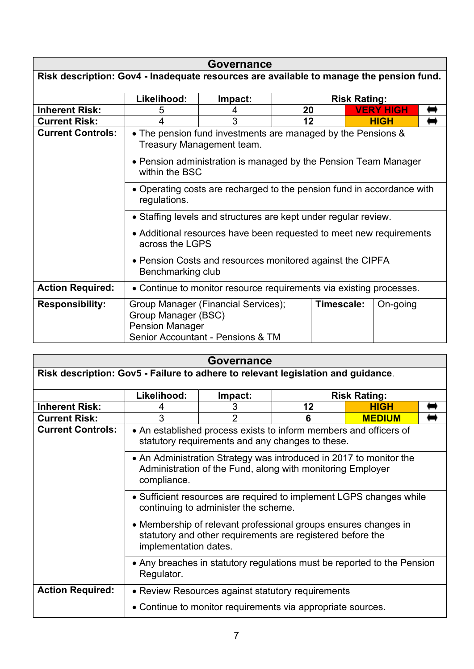|                                                                                         |                                                                                           | Governance                                                               |    |                     |                  |  |  |
|-----------------------------------------------------------------------------------------|-------------------------------------------------------------------------------------------|--------------------------------------------------------------------------|----|---------------------|------------------|--|--|
| Risk description: Gov4 - Inadequate resources are available to manage the pension fund. |                                                                                           |                                                                          |    |                     |                  |  |  |
|                                                                                         |                                                                                           |                                                                          |    |                     |                  |  |  |
|                                                                                         | Likelihood:                                                                               | Impact:                                                                  |    | <b>Risk Rating:</b> |                  |  |  |
| <b>Inherent Risk:</b>                                                                   | 5                                                                                         | 4                                                                        | 20 |                     | <b>VERY HIGH</b> |  |  |
| <b>Current Risk:</b>                                                                    | 4                                                                                         | 3                                                                        | 12 |                     | <b>HIGH</b>      |  |  |
| <b>Current Controls:</b>                                                                | • The pension fund investments are managed by the Pensions &<br>Treasury Management team. |                                                                          |    |                     |                  |  |  |
|                                                                                         | • Pension administration is managed by the Pension Team Manager<br>within the BSC         |                                                                          |    |                     |                  |  |  |
|                                                                                         | • Operating costs are recharged to the pension fund in accordance with<br>regulations.    |                                                                          |    |                     |                  |  |  |
|                                                                                         | • Staffing levels and structures are kept under regular review.                           |                                                                          |    |                     |                  |  |  |
|                                                                                         | • Additional resources have been requested to meet new requirements<br>across the LGPS    |                                                                          |    |                     |                  |  |  |
|                                                                                         | • Pension Costs and resources monitored against the CIPFA<br>Benchmarking club            |                                                                          |    |                     |                  |  |  |
| <b>Action Required:</b>                                                                 | • Continue to monitor resource requirements via existing processes.                       |                                                                          |    |                     |                  |  |  |
| <b>Responsibility:</b>                                                                  | Group Manager (BSC)<br><b>Pension Manager</b>                                             | Group Manager (Financial Services);<br>Senior Accountant - Pensions & TM |    | Timescale:          | On-going         |  |  |

| Governance                                                                       |                                                                                                                                                        |                                                             |                   |                     |  |  |  |
|----------------------------------------------------------------------------------|--------------------------------------------------------------------------------------------------------------------------------------------------------|-------------------------------------------------------------|-------------------|---------------------|--|--|--|
| Risk description: Gov5 - Failure to adhere to relevant legislation and guidance. |                                                                                                                                                        |                                                             |                   |                     |  |  |  |
|                                                                                  | Likelihood:                                                                                                                                            | Impact:                                                     |                   | <b>Risk Rating:</b> |  |  |  |
| <b>Inherent Risk:</b>                                                            | 4                                                                                                                                                      | 3                                                           | <b>HIGH</b><br>12 |                     |  |  |  |
| <b>Current Risk:</b>                                                             | 3                                                                                                                                                      | $\overline{2}$                                              | 6                 | <b>MEDIUM</b>       |  |  |  |
| <b>Current Controls:</b>                                                         | • An established process exists to inform members and officers of<br>statutory requirements and any changes to these.                                  |                                                             |                   |                     |  |  |  |
|                                                                                  | • An Administration Strategy was introduced in 2017 to monitor the<br>Administration of the Fund, along with monitoring Employer<br>compliance.        |                                                             |                   |                     |  |  |  |
|                                                                                  | • Sufficient resources are required to implement LGPS changes while<br>continuing to administer the scheme.                                            |                                                             |                   |                     |  |  |  |
|                                                                                  | • Membership of relevant professional groups ensures changes in<br>statutory and other requirements are registered before the<br>implementation dates. |                                                             |                   |                     |  |  |  |
|                                                                                  | • Any breaches in statutory regulations must be reported to the Pension<br>Regulator.                                                                  |                                                             |                   |                     |  |  |  |
| <b>Action Required:</b>                                                          |                                                                                                                                                        | • Review Resources against statutory requirements           |                   |                     |  |  |  |
|                                                                                  |                                                                                                                                                        | • Continue to monitor requirements via appropriate sources. |                   |                     |  |  |  |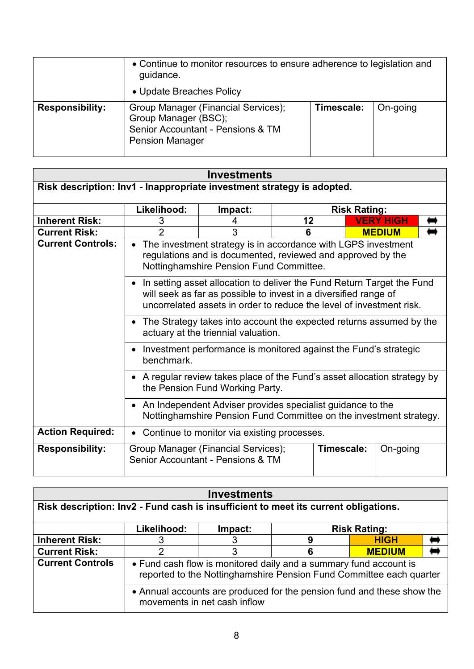|                        | • Continue to monitor resources to ensure adherence to legislation and<br>guidance.<br>• Update Breaches Policy            |            |          |  |  |
|------------------------|----------------------------------------------------------------------------------------------------------------------------|------------|----------|--|--|
| <b>Responsibility:</b> | Group Manager (Financial Services);<br>Group Manager (BSC);<br>Senior Accountant - Pensions & TM<br><b>Pension Manager</b> | Timescale: | On-going |  |  |

| Risk description: Inv1 - Inappropriate investment strategy is adopted. |                                                                                                                                                                         |                                                                                                                                                                                                                      |    |                     |                  |  |  |
|------------------------------------------------------------------------|-------------------------------------------------------------------------------------------------------------------------------------------------------------------------|----------------------------------------------------------------------------------------------------------------------------------------------------------------------------------------------------------------------|----|---------------------|------------------|--|--|
|                                                                        | Likelihood:                                                                                                                                                             | Impact:                                                                                                                                                                                                              |    | <b>Risk Rating:</b> |                  |  |  |
| <b>Inherent Risk:</b>                                                  | 3                                                                                                                                                                       | 4                                                                                                                                                                                                                    | 12 |                     | <b>VERY HIGH</b> |  |  |
| <b>Current Risk:</b>                                                   | $\mathfrak{p}$                                                                                                                                                          | 3                                                                                                                                                                                                                    | 6  |                     | <b>MEDIUM</b>    |  |  |
| <b>Current Controls:</b>                                               | The investment strategy is in accordance with LGPS investment<br>regulations and is documented, reviewed and approved by the<br>Nottinghamshire Pension Fund Committee. |                                                                                                                                                                                                                      |    |                     |                  |  |  |
|                                                                        |                                                                                                                                                                         | • In setting asset allocation to deliver the Fund Return Target the Fund<br>will seek as far as possible to invest in a diversified range of<br>uncorrelated assets in order to reduce the level of investment risk. |    |                     |                  |  |  |
|                                                                        | • The Strategy takes into account the expected returns assumed by the<br>actuary at the triennial valuation.                                                            |                                                                                                                                                                                                                      |    |                     |                  |  |  |
|                                                                        | Investment performance is monitored against the Fund's strategic<br>benchmark.                                                                                          |                                                                                                                                                                                                                      |    |                     |                  |  |  |
|                                                                        | • A regular review takes place of the Fund's asset allocation strategy by<br>the Pension Fund Working Party.                                                            |                                                                                                                                                                                                                      |    |                     |                  |  |  |
|                                                                        | • An Independent Adviser provides specialist guidance to the<br>Nottinghamshire Pension Fund Committee on the investment strategy.                                      |                                                                                                                                                                                                                      |    |                     |                  |  |  |
| <b>Action Required:</b>                                                | Continue to monitor via existing processes.                                                                                                                             |                                                                                                                                                                                                                      |    |                     |                  |  |  |
| <b>Responsibility:</b>                                                 |                                                                                                                                                                         | Group Manager (Financial Services);<br>Senior Accountant - Pensions & TM                                                                                                                                             |    | Timescale:          | On-going         |  |  |

| <b>Investments</b>                                                                  |             |                                                                                                                                          |   |                     |  |  |
|-------------------------------------------------------------------------------------|-------------|------------------------------------------------------------------------------------------------------------------------------------------|---|---------------------|--|--|
| Risk description: Inv2 - Fund cash is insufficient to meet its current obligations. |             |                                                                                                                                          |   |                     |  |  |
|                                                                                     | Likelihood: | Impact:                                                                                                                                  |   | <b>Risk Rating:</b> |  |  |
| <b>Inherent Risk:</b>                                                               |             |                                                                                                                                          | 9 | <b>HIGH</b>         |  |  |
| <b>Current Risk:</b>                                                                | າ           | 3                                                                                                                                        |   | <b>MEDIUM</b>       |  |  |
| <b>Current Controls</b>                                                             |             | • Fund cash flow is monitored daily and a summary fund account is<br>reported to the Nottinghamshire Pension Fund Committee each quarter |   |                     |  |  |
|                                                                                     |             | • Annual accounts are produced for the pension fund and these show the<br>movements in net cash inflow                                   |   |                     |  |  |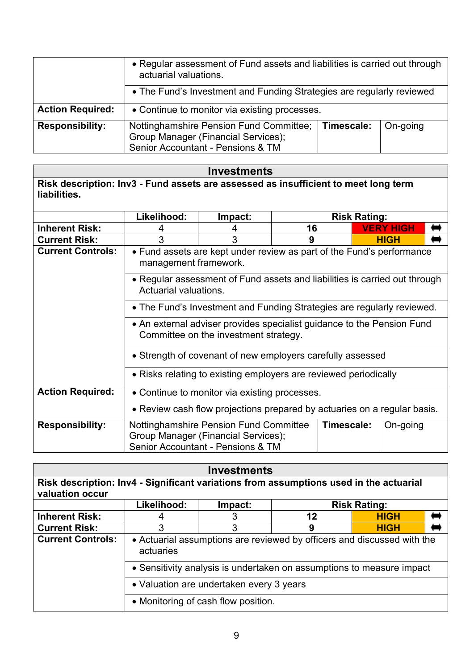|                         | • Regular assessment of Fund assets and liabilities is carried out through<br>actuarial valuations.                 |            |          |  |  |
|-------------------------|---------------------------------------------------------------------------------------------------------------------|------------|----------|--|--|
|                         | • The Fund's Investment and Funding Strategies are regularly reviewed                                               |            |          |  |  |
| <b>Action Required:</b> | • Continue to monitor via existing processes.                                                                       |            |          |  |  |
| <b>Responsibility:</b>  | Nottinghamshire Pension Fund Committee;<br>Group Manager (Financial Services);<br>Senior Accountant - Pensions & TM | Timescale: | On-going |  |  |

### **Investments**

**Risk description: Inv3 - Fund assets are assessed as insufficient to meet long term liabilities.**

|                          | Likelihood:                                                                                                     | Impact:                                                                                                            |    | <b>Risk Rating:</b> |  |                  |  |
|--------------------------|-----------------------------------------------------------------------------------------------------------------|--------------------------------------------------------------------------------------------------------------------|----|---------------------|--|------------------|--|
| <b>Inherent Risk:</b>    |                                                                                                                 |                                                                                                                    | 16 |                     |  | <b>VERY HIGH</b> |  |
| <b>Current Risk:</b>     | 3                                                                                                               | 3                                                                                                                  | 9  |                     |  | <b>HIGH</b>      |  |
| <b>Current Controls:</b> | • Fund assets are kept under review as part of the Fund's performance<br>management framework.                  |                                                                                                                    |    |                     |  |                  |  |
|                          | • Regular assessment of Fund assets and liabilities is carried out through<br>Actuarial valuations.             |                                                                                                                    |    |                     |  |                  |  |
|                          |                                                                                                                 | • The Fund's Investment and Funding Strategies are regularly reviewed.                                             |    |                     |  |                  |  |
|                          | • An external adviser provides specialist guidance to the Pension Fund<br>Committee on the investment strategy. |                                                                                                                    |    |                     |  |                  |  |
|                          | • Strength of covenant of new employers carefully assessed                                                      |                                                                                                                    |    |                     |  |                  |  |
|                          | • Risks relating to existing employers are reviewed periodically                                                |                                                                                                                    |    |                     |  |                  |  |
| <b>Action Required:</b>  | • Continue to monitor via existing processes.                                                                   |                                                                                                                    |    |                     |  |                  |  |
|                          |                                                                                                                 | • Review cash flow projections prepared by actuaries on a regular basis.                                           |    |                     |  |                  |  |
| <b>Responsibility:</b>   |                                                                                                                 | Nottinghamshire Pension Fund Committee<br>Group Manager (Financial Services);<br>Senior Accountant - Pensions & TM |    | Timescale:          |  | On-going         |  |

| <b>Investments</b>                                                                     |                                                                       |                                     |                                                                         |                     |  |
|----------------------------------------------------------------------------------------|-----------------------------------------------------------------------|-------------------------------------|-------------------------------------------------------------------------|---------------------|--|
| Risk description: Inv4 - Significant variations from assumptions used in the actuarial |                                                                       |                                     |                                                                         |                     |  |
| valuation occur                                                                        |                                                                       |                                     |                                                                         |                     |  |
|                                                                                        | Likelihood:                                                           | Impact:                             |                                                                         | <b>Risk Rating:</b> |  |
| <b>Inherent Risk:</b>                                                                  |                                                                       | 3                                   | 12                                                                      | <b>HIGH</b>         |  |
| <b>Current Risk:</b>                                                                   |                                                                       | 3                                   | 9                                                                       | <b>HIGH</b>         |  |
| <b>Current Controls:</b>                                                               | actuaries                                                             |                                     | • Actuarial assumptions are reviewed by officers and discussed with the |                     |  |
|                                                                                        | • Sensitivity analysis is undertaken on assumptions to measure impact |                                     |                                                                         |                     |  |
|                                                                                        | • Valuation are undertaken every 3 years                              |                                     |                                                                         |                     |  |
|                                                                                        |                                                                       | • Monitoring of cash flow position. |                                                                         |                     |  |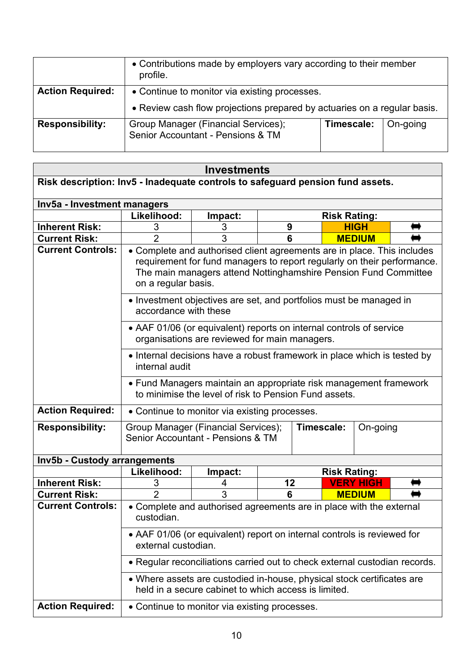|                         | • Contributions made by employers vary according to their member<br>profile.                                              |            |          |
|-------------------------|---------------------------------------------------------------------------------------------------------------------------|------------|----------|
| <b>Action Required:</b> | • Continue to monitor via existing processes.<br>• Review cash flow projections prepared by actuaries on a regular basis. |            |          |
| <b>Responsibility:</b>  | Group Manager (Financial Services);<br>Senior Accountant - Pensions & TM                                                  | Timescale: | On-going |

### **Investments**

| Risk description: Inv5 - Inadequate controls to safeguard pension fund assets. |                                                                                                                                                                                                                                              |                                                                                                                                |    |                     |                     |                  |  |
|--------------------------------------------------------------------------------|----------------------------------------------------------------------------------------------------------------------------------------------------------------------------------------------------------------------------------------------|--------------------------------------------------------------------------------------------------------------------------------|----|---------------------|---------------------|------------------|--|
| Inv5a - Investment managers                                                    |                                                                                                                                                                                                                                              |                                                                                                                                |    |                     |                     |                  |  |
|                                                                                | Likelihood:                                                                                                                                                                                                                                  | Impact:                                                                                                                        |    | <b>Risk Rating:</b> |                     |                  |  |
| <b>Inherent Risk:</b>                                                          | 3                                                                                                                                                                                                                                            | 3                                                                                                                              |    | 9<br><b>HIGH</b>    |                     |                  |  |
| <b>Current Risk:</b>                                                           | $\mathfrak{p}$                                                                                                                                                                                                                               | 3                                                                                                                              | 6  | <b>MEDIUM</b>       |                     |                  |  |
| <b>Current Controls:</b>                                                       | • Complete and authorised client agreements are in place. This includes<br>requirement for fund managers to report regularly on their performance.<br>The main managers attend Nottinghamshire Pension Fund Committee<br>on a regular basis. |                                                                                                                                |    |                     |                     |                  |  |
|                                                                                | accordance with these                                                                                                                                                                                                                        | • Investment objectives are set, and portfolios must be managed in                                                             |    |                     |                     |                  |  |
|                                                                                |                                                                                                                                                                                                                                              | • AAF 01/06 (or equivalent) reports on internal controls of service<br>organisations are reviewed for main managers.           |    |                     |                     |                  |  |
|                                                                                | internal audit                                                                                                                                                                                                                               | • Internal decisions have a robust framework in place which is tested by                                                       |    |                     |                     |                  |  |
|                                                                                | • Fund Managers maintain an appropriate risk management framework<br>to minimise the level of risk to Pension Fund assets.                                                                                                                   |                                                                                                                                |    |                     |                     |                  |  |
| <b>Action Required:</b>                                                        |                                                                                                                                                                                                                                              | • Continue to monitor via existing processes.                                                                                  |    |                     |                     |                  |  |
| <b>Responsibility:</b>                                                         | Group Manager (Financial Services);<br>Senior Accountant - Pensions & TM                                                                                                                                                                     |                                                                                                                                |    | Timescale:          |                     | On-going         |  |
| Inv5b - Custody arrangements                                                   |                                                                                                                                                                                                                                              |                                                                                                                                |    |                     |                     |                  |  |
|                                                                                | Likelihood:                                                                                                                                                                                                                                  | Impact:                                                                                                                        |    |                     | <b>Risk Rating:</b> |                  |  |
| <b>Inherent Risk:</b>                                                          | 3                                                                                                                                                                                                                                            | 4                                                                                                                              | 12 |                     |                     | <b>VERY HIGH</b> |  |
| <b>Current Risk:</b>                                                           | $\overline{2}$                                                                                                                                                                                                                               | 3                                                                                                                              | 6  |                     |                     | <b>MEDIUM</b>    |  |
| <b>Current Controls:</b>                                                       | custodian.                                                                                                                                                                                                                                   | • Complete and authorised agreements are in place with the external                                                            |    |                     |                     |                  |  |
|                                                                                |                                                                                                                                                                                                                                              | • AAF 01/06 (or equivalent) report on internal controls is reviewed for<br>external custodian.                                 |    |                     |                     |                  |  |
|                                                                                |                                                                                                                                                                                                                                              | • Regular reconciliations carried out to check external custodian records.                                                     |    |                     |                     |                  |  |
|                                                                                |                                                                                                                                                                                                                                              | • Where assets are custodied in-house, physical stock certificates are<br>held in a secure cabinet to which access is limited. |    |                     |                     |                  |  |
| <b>Action Required:</b>                                                        |                                                                                                                                                                                                                                              | • Continue to monitor via existing processes.                                                                                  |    |                     |                     |                  |  |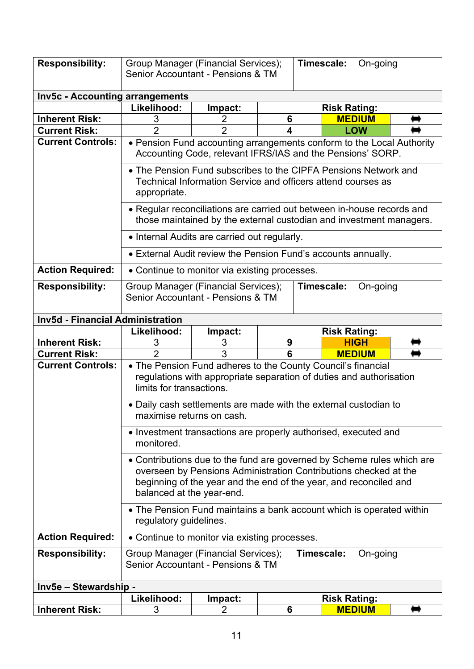| <b>Responsibility:</b>                  | Group Manager (Financial Services);<br>Senior Accountant - Pensions & TM |                                                                                                                                                                                                                 |   | Timescale:          |                     | On-going      |  |
|-----------------------------------------|--------------------------------------------------------------------------|-----------------------------------------------------------------------------------------------------------------------------------------------------------------------------------------------------------------|---|---------------------|---------------------|---------------|--|
| Inv5c - Accounting arrangements         |                                                                          |                                                                                                                                                                                                                 |   |                     |                     |               |  |
|                                         | Likelihood:                                                              | Impact:                                                                                                                                                                                                         |   | <b>Risk Rating:</b> |                     |               |  |
| <b>Inherent Risk:</b>                   | 3                                                                        | 2                                                                                                                                                                                                               | 6 |                     |                     | <b>MEDIUM</b> |  |
| <b>Current Risk:</b>                    | $\overline{2}$                                                           | $\overline{2}$                                                                                                                                                                                                  | 4 |                     |                     | <b>LOW</b>    |  |
| <b>Current Controls:</b>                |                                                                          | • Pension Fund accounting arrangements conform to the Local Authority<br>Accounting Code, relevant IFRS/IAS and the Pensions' SORP.                                                                             |   |                     |                     |               |  |
|                                         | appropriate.                                                             | • The Pension Fund subscribes to the CIPFA Pensions Network and<br>Technical Information Service and officers attend courses as                                                                                 |   |                     |                     |               |  |
|                                         |                                                                          | • Regular reconciliations are carried out between in-house records and<br>those maintained by the external custodian and investment managers.                                                                   |   |                     |                     |               |  |
|                                         |                                                                          | • Internal Audits are carried out regularly.                                                                                                                                                                    |   |                     |                     |               |  |
|                                         |                                                                          | • External Audit review the Pension Fund's accounts annually.                                                                                                                                                   |   |                     |                     |               |  |
| <b>Action Required:</b>                 |                                                                          | • Continue to monitor via existing processes.                                                                                                                                                                   |   |                     |                     |               |  |
| <b>Responsibility:</b>                  | Group Manager (Financial Services);<br>Senior Accountant - Pensions & TM |                                                                                                                                                                                                                 |   |                     | Timescale:          | On-going      |  |
| <b>Inv5d - Financial Administration</b> |                                                                          |                                                                                                                                                                                                                 |   |                     |                     |               |  |
|                                         |                                                                          | Likelihood:<br>Impact:<br><b>Risk Rating:</b>                                                                                                                                                                   |   |                     |                     |               |  |
|                                         |                                                                          |                                                                                                                                                                                                                 |   |                     |                     |               |  |
| <b>Inherent Risk:</b>                   | 3                                                                        | 3                                                                                                                                                                                                               | 9 |                     |                     | <b>HIGH</b>   |  |
| <b>Current Risk:</b>                    | $\overline{2}$                                                           | 3                                                                                                                                                                                                               | 6 |                     |                     | <b>MEDIUM</b> |  |
| <b>Current Controls:</b>                | limits for transactions.                                                 | • The Pension Fund adheres to the County Council's financial<br>regulations with appropriate separation of duties and authorisation                                                                             |   |                     |                     |               |  |
|                                         | maximise returns on cash.                                                | • Daily cash settlements are made with the external custodian to                                                                                                                                                |   |                     |                     |               |  |
|                                         | monitored.                                                               | • Investment transactions are properly authorised, executed and                                                                                                                                                 |   |                     |                     |               |  |
|                                         | balanced at the year-end.                                                | • Contributions due to the fund are governed by Scheme rules which are<br>overseen by Pensions Administration Contributions checked at the<br>beginning of the year and the end of the year, and reconciled and |   |                     |                     |               |  |
|                                         | regulatory guidelines.                                                   | • The Pension Fund maintains a bank account which is operated within                                                                                                                                            |   |                     |                     |               |  |
| <b>Action Required:</b>                 |                                                                          | • Continue to monitor via existing processes.                                                                                                                                                                   |   |                     |                     |               |  |
| <b>Responsibility:</b>                  | Group Manager (Financial Services);<br>Senior Accountant - Pensions & TM |                                                                                                                                                                                                                 |   | Timescale:          |                     | On-going      |  |
| Inv5e - Stewardship -                   |                                                                          |                                                                                                                                                                                                                 |   |                     |                     |               |  |
|                                         | Likelihood:                                                              | Impact:                                                                                                                                                                                                         |   |                     | <b>Risk Rating:</b> |               |  |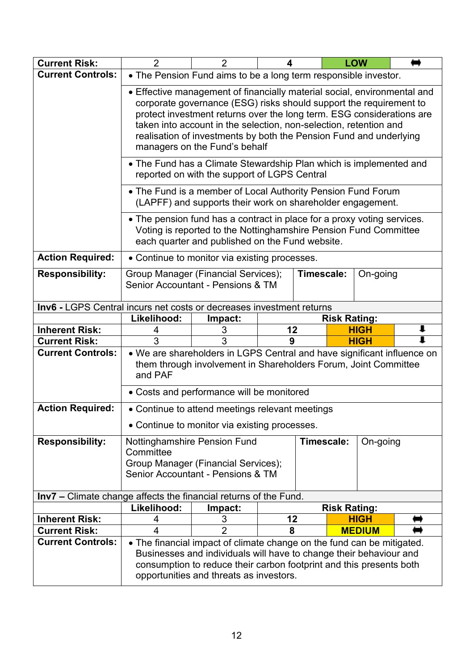| <b>Current Risk:</b>                                                    | $\overline{2}$                                                                                                                                                                                                                                                                                                                                                                                      | $\overline{2}$                                                                                                                                                                                                                                                 | 4  |            |                     | <b>LOW</b>    |   |
|-------------------------------------------------------------------------|-----------------------------------------------------------------------------------------------------------------------------------------------------------------------------------------------------------------------------------------------------------------------------------------------------------------------------------------------------------------------------------------------------|----------------------------------------------------------------------------------------------------------------------------------------------------------------------------------------------------------------------------------------------------------------|----|------------|---------------------|---------------|---|
| <b>Current Controls:</b>                                                |                                                                                                                                                                                                                                                                                                                                                                                                     | • The Pension Fund aims to be a long term responsible investor.                                                                                                                                                                                                |    |            |                     |               |   |
|                                                                         | • Effective management of financially material social, environmental and<br>corporate governance (ESG) risks should support the requirement to<br>protect investment returns over the long term. ESG considerations are<br>taken into account in the selection, non-selection, retention and<br>realisation of investments by both the Pension Fund and underlying<br>managers on the Fund's behalf |                                                                                                                                                                                                                                                                |    |            |                     |               |   |
|                                                                         |                                                                                                                                                                                                                                                                                                                                                                                                     | • The Fund has a Climate Stewardship Plan which is implemented and<br>reported on with the support of LGPS Central                                                                                                                                             |    |            |                     |               |   |
|                                                                         |                                                                                                                                                                                                                                                                                                                                                                                                     | • The Fund is a member of Local Authority Pension Fund Forum<br>(LAPFF) and supports their work on shareholder engagement.                                                                                                                                     |    |            |                     |               |   |
|                                                                         |                                                                                                                                                                                                                                                                                                                                                                                                     | • The pension fund has a contract in place for a proxy voting services.<br>Voting is reported to the Nottinghamshire Pension Fund Committee<br>each quarter and published on the Fund website.                                                                 |    |            |                     |               |   |
| <b>Action Required:</b>                                                 |                                                                                                                                                                                                                                                                                                                                                                                                     | • Continue to monitor via existing processes.                                                                                                                                                                                                                  |    |            |                     |               |   |
| <b>Responsibility:</b>                                                  | Group Manager (Financial Services);<br>Senior Accountant - Pensions & TM                                                                                                                                                                                                                                                                                                                            |                                                                                                                                                                                                                                                                |    | Timescale: |                     | On-going      |   |
| Inv6 - LGPS Central incurs net costs or decreases investment returns    |                                                                                                                                                                                                                                                                                                                                                                                                     |                                                                                                                                                                                                                                                                |    |            |                     |               |   |
|                                                                         | Likelihood:                                                                                                                                                                                                                                                                                                                                                                                         | Impact:                                                                                                                                                                                                                                                        |    |            | <b>Risk Rating:</b> |               |   |
| <b>Inherent Risk:</b>                                                   | 4                                                                                                                                                                                                                                                                                                                                                                                                   | 3                                                                                                                                                                                                                                                              | 12 |            |                     | <b>HIGH</b>   | ı |
| <b>Current Risk:</b>                                                    | 3                                                                                                                                                                                                                                                                                                                                                                                                   | 3                                                                                                                                                                                                                                                              | 9  |            |                     | <b>HIGH</b>   | ı |
| <b>Current Controls:</b>                                                | and PAF                                                                                                                                                                                                                                                                                                                                                                                             | • We are shareholders in LGPS Central and have significant influence on<br>them through involvement in Shareholders Forum, Joint Committee                                                                                                                     |    |            |                     |               |   |
|                                                                         |                                                                                                                                                                                                                                                                                                                                                                                                     | • Costs and performance will be monitored                                                                                                                                                                                                                      |    |            |                     |               |   |
| <b>Action Required:</b>                                                 |                                                                                                                                                                                                                                                                                                                                                                                                     | • Continue to attend meetings relevant meetings                                                                                                                                                                                                                |    |            |                     |               |   |
|                                                                         |                                                                                                                                                                                                                                                                                                                                                                                                     | • Continue to monitor via existing processes.                                                                                                                                                                                                                  |    |            |                     |               |   |
| <b>Responsibility:</b>                                                  | Nottinghamshire Pension Fund<br>Committee<br>Group Manager (Financial Services);<br>Senior Accountant - Pensions & TM                                                                                                                                                                                                                                                                               |                                                                                                                                                                                                                                                                |    | Timescale: |                     | On-going      |   |
| <b>Inv7</b> - Climate change affects the financial returns of the Fund. |                                                                                                                                                                                                                                                                                                                                                                                                     |                                                                                                                                                                                                                                                                |    |            |                     |               |   |
|                                                                         | Likelihood:                                                                                                                                                                                                                                                                                                                                                                                         | Impact:                                                                                                                                                                                                                                                        |    |            | <b>Risk Rating:</b> |               |   |
| <b>Inherent Risk:</b>                                                   | 4                                                                                                                                                                                                                                                                                                                                                                                                   | 3                                                                                                                                                                                                                                                              | 12 |            |                     | <b>HIGH</b>   |   |
| <b>Current Risk:</b>                                                    | $\overline{\mathbf{4}}$                                                                                                                                                                                                                                                                                                                                                                             | $\overline{2}$                                                                                                                                                                                                                                                 | 8  |            |                     | <b>MEDIUM</b> |   |
| <b>Current Controls:</b>                                                |                                                                                                                                                                                                                                                                                                                                                                                                     | • The financial impact of climate change on the fund can be mitigated.<br>Businesses and individuals will have to change their behaviour and<br>consumption to reduce their carbon footprint and this presents both<br>opportunities and threats as investors. |    |            |                     |               |   |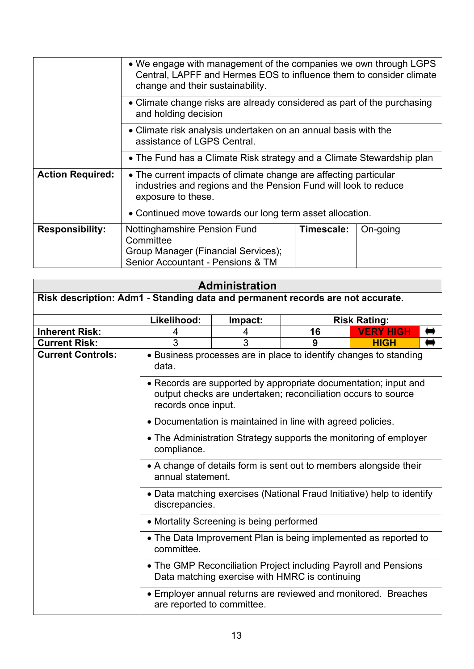|                         | • We engage with management of the companies we own through LGPS<br>Central, LAPFF and Hermes EOS to influence them to consider climate<br>change and their sustainability.                                           |            |          |  |  |  |
|-------------------------|-----------------------------------------------------------------------------------------------------------------------------------------------------------------------------------------------------------------------|------------|----------|--|--|--|
|                         | • Climate change risks are already considered as part of the purchasing<br>and holding decision                                                                                                                       |            |          |  |  |  |
|                         | • Climate risk analysis undertaken on an annual basis with the<br>assistance of LGPS Central.                                                                                                                         |            |          |  |  |  |
|                         | • The Fund has a Climate Risk strategy and a Climate Stewardship plan                                                                                                                                                 |            |          |  |  |  |
| <b>Action Required:</b> | • The current impacts of climate change are affecting particular<br>industries and regions and the Pension Fund will look to reduce<br>exposure to these.<br>• Continued move towards our long term asset allocation. |            |          |  |  |  |
| <b>Responsibility:</b>  | Nottinghamshire Pension Fund<br>Committee<br>Group Manager (Financial Services);<br>Senior Accountant - Pensions & TM                                                                                                 | Timescale: | On-going |  |  |  |

| <b>Administration</b> |  |
|-----------------------|--|
|                       |  |

| Risk description: Adm1 - Standing data and permanent records are not accurate. |                                                                                                                                                                                                    |         |                                                             |                                                                   |  |  |
|--------------------------------------------------------------------------------|----------------------------------------------------------------------------------------------------------------------------------------------------------------------------------------------------|---------|-------------------------------------------------------------|-------------------------------------------------------------------|--|--|
|                                                                                | Likelihood:                                                                                                                                                                                        | Impact: | <b>Risk Rating:</b>                                         |                                                                   |  |  |
| <b>Inherent Risk:</b>                                                          |                                                                                                                                                                                                    | 4       | 16                                                          | <b>VERY HIGH</b>                                                  |  |  |
| <b>Current Risk:</b>                                                           | 3                                                                                                                                                                                                  | 3       | 9                                                           | <b>HIGH</b>                                                       |  |  |
| <b>Current Controls:</b>                                                       | data.                                                                                                                                                                                              |         |                                                             | • Business processes are in place to identify changes to standing |  |  |
|                                                                                | • Records are supported by appropriate documentation; input and<br>output checks are undertaken; reconciliation occurs to source<br>records once input.                                            |         |                                                             |                                                                   |  |  |
|                                                                                |                                                                                                                                                                                                    |         | • Documentation is maintained in line with agreed policies. |                                                                   |  |  |
|                                                                                | • The Administration Strategy supports the monitoring of employer<br>compliance.                                                                                                                   |         |                                                             |                                                                   |  |  |
|                                                                                | • A change of details form is sent out to members alongside their<br>annual statement.                                                                                                             |         |                                                             |                                                                   |  |  |
|                                                                                | • Data matching exercises (National Fraud Initiative) help to identify<br>discrepancies.                                                                                                           |         |                                                             |                                                                   |  |  |
|                                                                                | • Mortality Screening is being performed                                                                                                                                                           |         |                                                             |                                                                   |  |  |
|                                                                                | • The Data Improvement Plan is being implemented as reported to<br>committee.<br>• The GMP Reconciliation Project including Payroll and Pensions<br>Data matching exercise with HMRC is continuing |         |                                                             |                                                                   |  |  |
|                                                                                |                                                                                                                                                                                                    |         |                                                             |                                                                   |  |  |
|                                                                                | are reported to committee.                                                                                                                                                                         |         |                                                             | • Employer annual returns are reviewed and monitored. Breaches    |  |  |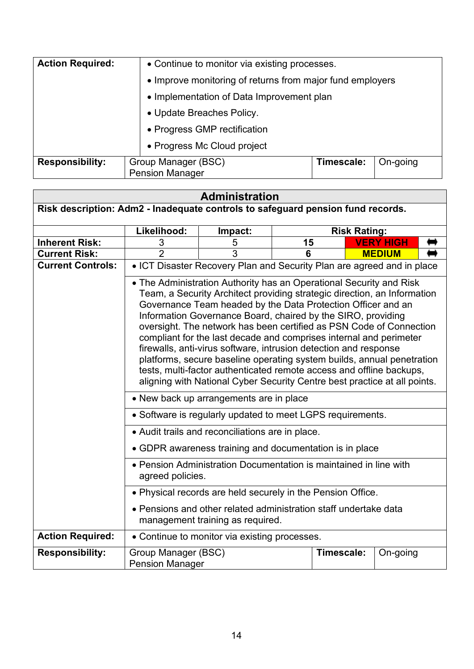| <b>Action Required:</b> | • Continue to monitor via existing processes.                           |  |  |  |  |  |
|-------------------------|-------------------------------------------------------------------------|--|--|--|--|--|
|                         | • Improve monitoring of returns from major fund employers               |  |  |  |  |  |
|                         | • Implementation of Data Improvement plan                               |  |  |  |  |  |
|                         | • Update Breaches Policy.                                               |  |  |  |  |  |
|                         | • Progress GMP rectification                                            |  |  |  |  |  |
|                         | • Progress Mc Cloud project                                             |  |  |  |  |  |
| <b>Responsibility:</b>  | Group Manager (BSC)<br>Timescale:<br>On-going<br><b>Pension Manager</b> |  |  |  |  |  |

## **Administration**

| Risk description: Adm2 - Inadequate controls to safeguard pension fund records. |                                                                                                                                                                                                                                                                                                                                                                                                                                                                                                                                                                                                                                                                                                                                 |                                                                        |    |                     |                  |  |
|---------------------------------------------------------------------------------|---------------------------------------------------------------------------------------------------------------------------------------------------------------------------------------------------------------------------------------------------------------------------------------------------------------------------------------------------------------------------------------------------------------------------------------------------------------------------------------------------------------------------------------------------------------------------------------------------------------------------------------------------------------------------------------------------------------------------------|------------------------------------------------------------------------|----|---------------------|------------------|--|
|                                                                                 | Likelihood:                                                                                                                                                                                                                                                                                                                                                                                                                                                                                                                                                                                                                                                                                                                     | Impact:                                                                |    | <b>Risk Rating:</b> |                  |  |
| <b>Inherent Risk:</b>                                                           | 3                                                                                                                                                                                                                                                                                                                                                                                                                                                                                                                                                                                                                                                                                                                               | 5                                                                      | 15 |                     | <b>VERY HIGH</b> |  |
| <b>Current Risk:</b>                                                            | $\overline{2}$                                                                                                                                                                                                                                                                                                                                                                                                                                                                                                                                                                                                                                                                                                                  | 3                                                                      | 6  |                     | <b>MEDIUM</b>    |  |
| <b>Current Controls:</b>                                                        |                                                                                                                                                                                                                                                                                                                                                                                                                                                                                                                                                                                                                                                                                                                                 | • ICT Disaster Recovery Plan and Security Plan are agreed and in place |    |                     |                  |  |
|                                                                                 | • The Administration Authority has an Operational Security and Risk<br>Team, a Security Architect providing strategic direction, an Information<br>Governance Team headed by the Data Protection Officer and an<br>Information Governance Board, chaired by the SIRO, providing<br>oversight. The network has been certified as PSN Code of Connection<br>compliant for the last decade and comprises internal and perimeter<br>firewalls, anti-virus software, intrusion detection and response<br>platforms, secure baseline operating system builds, annual penetration<br>tests, multi-factor authenticated remote access and offline backups,<br>aligning with National Cyber Security Centre best practice at all points. |                                                                        |    |                     |                  |  |
|                                                                                 | • New back up arrangements are in place                                                                                                                                                                                                                                                                                                                                                                                                                                                                                                                                                                                                                                                                                         |                                                                        |    |                     |                  |  |
|                                                                                 | • Software is regularly updated to meet LGPS requirements.                                                                                                                                                                                                                                                                                                                                                                                                                                                                                                                                                                                                                                                                      |                                                                        |    |                     |                  |  |
|                                                                                 | • Audit trails and reconciliations are in place.                                                                                                                                                                                                                                                                                                                                                                                                                                                                                                                                                                                                                                                                                |                                                                        |    |                     |                  |  |
|                                                                                 | • GDPR awareness training and documentation is in place                                                                                                                                                                                                                                                                                                                                                                                                                                                                                                                                                                                                                                                                         |                                                                        |    |                     |                  |  |
|                                                                                 | • Pension Administration Documentation is maintained in line with<br>agreed policies.                                                                                                                                                                                                                                                                                                                                                                                                                                                                                                                                                                                                                                           |                                                                        |    |                     |                  |  |
|                                                                                 | • Physical records are held securely in the Pension Office.                                                                                                                                                                                                                                                                                                                                                                                                                                                                                                                                                                                                                                                                     |                                                                        |    |                     |                  |  |
|                                                                                 | • Pensions and other related administration staff undertake data<br>management training as required.                                                                                                                                                                                                                                                                                                                                                                                                                                                                                                                                                                                                                            |                                                                        |    |                     |                  |  |
| <b>Action Required:</b>                                                         | • Continue to monitor via existing processes.                                                                                                                                                                                                                                                                                                                                                                                                                                                                                                                                                                                                                                                                                   |                                                                        |    |                     |                  |  |
| <b>Responsibility:</b>                                                          | Group Manager (BSC)<br><b>Pension Manager</b>                                                                                                                                                                                                                                                                                                                                                                                                                                                                                                                                                                                                                                                                                   |                                                                        |    | Timescale:          | On-going         |  |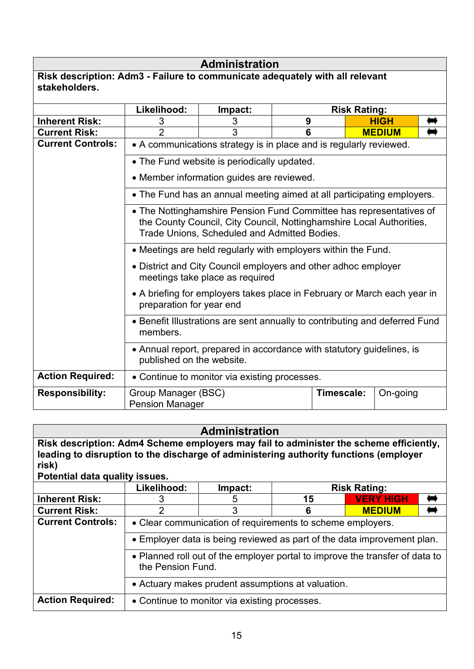# **Administration**

| Risk description: Adm3 - Failure to communicate adequately with all relevant |  |
|------------------------------------------------------------------------------|--|
| stakeholders.                                                                |  |

|                          | Likelihood:                                                                                                                                                                                 | Impact:                                     |   | <b>Risk Rating:</b> |               |  |  |
|--------------------------|---------------------------------------------------------------------------------------------------------------------------------------------------------------------------------------------|---------------------------------------------|---|---------------------|---------------|--|--|
| <b>Inherent Risk:</b>    | 3                                                                                                                                                                                           | 3                                           | 9 |                     | <b>HIGH</b>   |  |  |
| <b>Current Risk:</b>     | $\overline{2}$                                                                                                                                                                              | 3                                           | 6 |                     | <b>MEDIUM</b> |  |  |
| <b>Current Controls:</b> | • A communications strategy is in place and is regularly reviewed.                                                                                                                          |                                             |   |                     |               |  |  |
|                          |                                                                                                                                                                                             | • The Fund website is periodically updated. |   |                     |               |  |  |
|                          | • Member information guides are reviewed.                                                                                                                                                   |                                             |   |                     |               |  |  |
|                          | • The Fund has an annual meeting aimed at all participating employers.                                                                                                                      |                                             |   |                     |               |  |  |
|                          | • The Nottinghamshire Pension Fund Committee has representatives of<br>the County Council, City Council, Nottinghamshire Local Authorities,<br>Trade Unions, Scheduled and Admitted Bodies. |                                             |   |                     |               |  |  |
|                          | • Meetings are held regularly with employers within the Fund.                                                                                                                               |                                             |   |                     |               |  |  |
|                          | • District and City Council employers and other adhoc employer<br>meetings take place as required                                                                                           |                                             |   |                     |               |  |  |
|                          | • A briefing for employers takes place in February or March each year in<br>preparation for year end                                                                                        |                                             |   |                     |               |  |  |
|                          | • Benefit Illustrations are sent annually to contributing and deferred Fund<br>members.                                                                                                     |                                             |   |                     |               |  |  |
|                          | • Annual report, prepared in accordance with statutory guidelines, is<br>published on the website.                                                                                          |                                             |   |                     |               |  |  |
| <b>Action Required:</b>  | • Continue to monitor via existing processes.                                                                                                                                               |                                             |   |                     |               |  |  |
| <b>Responsibility:</b>   | Group Manager (BSC)<br><b>Pension Manager</b>                                                                                                                                               |                                             |   | Timescale:          | On-going      |  |  |

| <b>Administration</b>                                                                                                                                                                                                      |                                                                                                   |         |                     |                  |  |  |  |
|----------------------------------------------------------------------------------------------------------------------------------------------------------------------------------------------------------------------------|---------------------------------------------------------------------------------------------------|---------|---------------------|------------------|--|--|--|
| Risk description: Adm4 Scheme employers may fail to administer the scheme efficiently,<br>leading to disruption to the discharge of administering authority functions (employer<br>risk)<br>Potential data quality issues. |                                                                                                   |         |                     |                  |  |  |  |
|                                                                                                                                                                                                                            | Likelihood:                                                                                       | Impact: | <b>Risk Rating:</b> |                  |  |  |  |
| <b>Inherent Risk:</b>                                                                                                                                                                                                      |                                                                                                   | 5       | 15                  | <b>VERY HIGH</b> |  |  |  |
| <b>Current Risk:</b>                                                                                                                                                                                                       | 2                                                                                                 | 3       | 6                   | <b>MEDIUM</b>    |  |  |  |
| <b>Current Controls:</b>                                                                                                                                                                                                   | • Clear communication of requirements to scheme employers.                                        |         |                     |                  |  |  |  |
|                                                                                                                                                                                                                            | • Employer data is being reviewed as part of the data improvement plan.                           |         |                     |                  |  |  |  |
|                                                                                                                                                                                                                            | • Planned roll out of the employer portal to improve the transfer of data to<br>the Pension Fund. |         |                     |                  |  |  |  |
|                                                                                                                                                                                                                            | • Actuary makes prudent assumptions at valuation.                                                 |         |                     |                  |  |  |  |
| <b>Action Required:</b>                                                                                                                                                                                                    | • Continue to monitor via existing processes.                                                     |         |                     |                  |  |  |  |